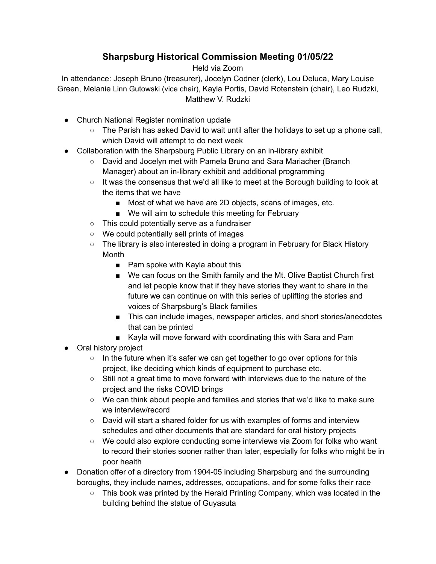## **Sharpsburg Historical Commission Meeting 01/05/22**

Held via Zoom

In attendance: Joseph Bruno (treasurer), Jocelyn Codner (clerk), Lou Deluca, Mary Louise Green, Melanie Linn Gutowski (vice chair), Kayla Portis, David Rotenstein (chair), Leo Rudzki, Matthew V. Rudzki

- Church National Register nomination update
	- $\circ$  The Parish has asked David to wait until after the holidays to set up a phone call, which David will attempt to do next week
- Collaboration with the Sharpsburg Public Library on an in-library exhibit
	- David and Jocelyn met with Pamela Bruno and Sara Mariacher (Branch Manager) about an in-library exhibit and additional programming
	- $\circ$  It was the consensus that we'd all like to meet at the Borough building to look at the items that we have
		- Most of what we have are 2D objects, scans of images, etc.
		- We will aim to schedule this meeting for February
	- This could potentially serve as a fundraiser
	- We could potentially sell prints of images
	- The library is also interested in doing a program in February for Black History Month
		- Pam spoke with Kayla about this
		- We can focus on the Smith family and the Mt. Olive Baptist Church first and let people know that if they have stories they want to share in the future we can continue on with this series of uplifting the stories and voices of Sharpsburg's Black families
		- This can include images, newspaper articles, and short stories/anecdotes that can be printed
		- Kayla will move forward with coordinating this with Sara and Pam
- Oral history project
	- $\circ$  In the future when it's safer we can get together to go over options for this project, like deciding which kinds of equipment to purchase etc.
	- Still not a great time to move forward with interviews due to the nature of the project and the risks COVID brings
	- We can think about people and families and stories that we'd like to make sure we interview/record
	- David will start a shared folder for us with examples of forms and interview schedules and other documents that are standard for oral history projects
	- We could also explore conducting some interviews via Zoom for folks who want to record their stories sooner rather than later, especially for folks who might be in poor health
- Donation offer of a directory from 1904-05 including Sharpsburg and the surrounding boroughs, they include names, addresses, occupations, and for some folks their race
	- $\circ$  This book was printed by the Herald Printing Company, which was located in the building behind the statue of Guyasuta